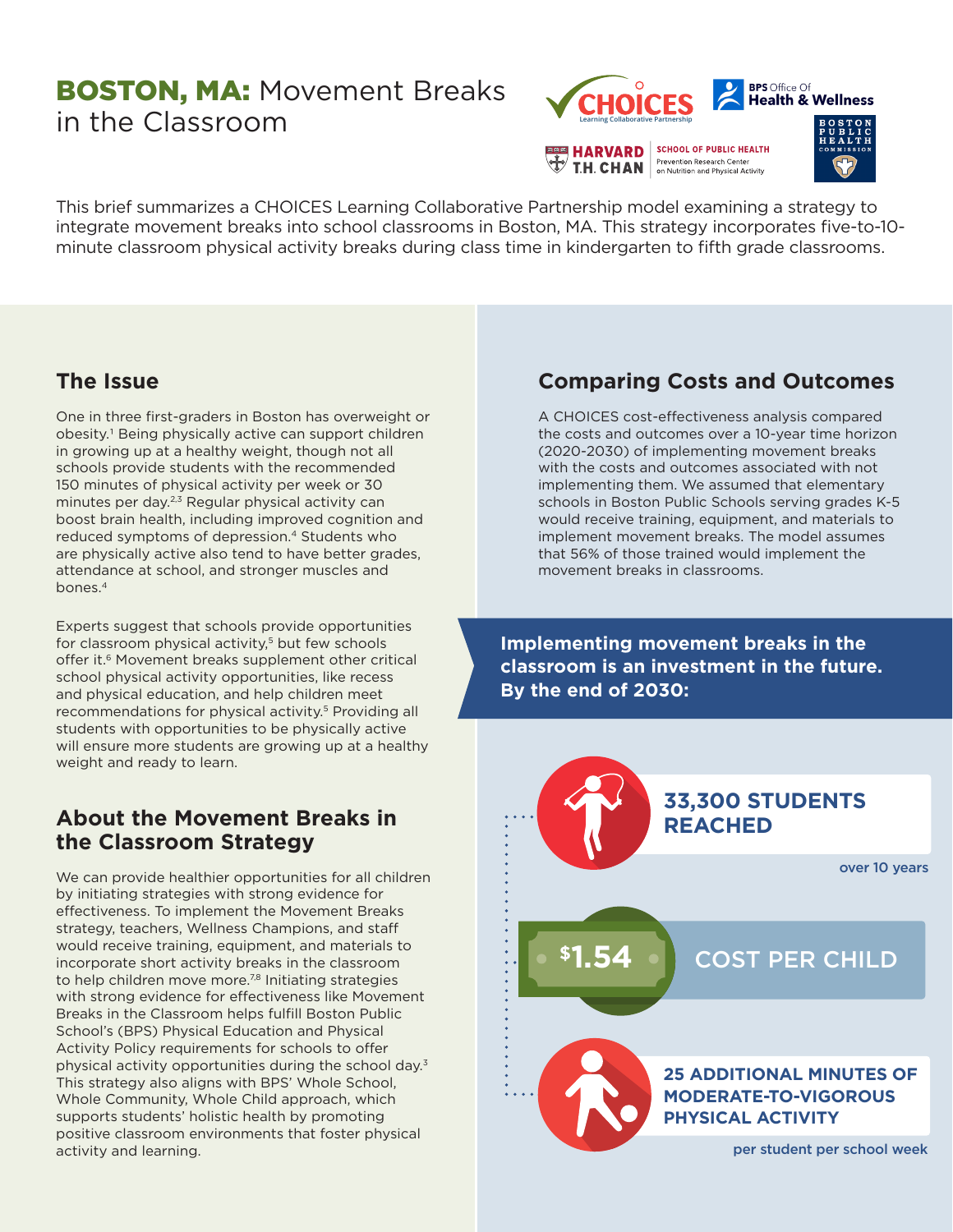# **BOSTON, MA: Movement Breaks** in the Classroom



**T.H. CHAN** on Nutrition and Physical Activity



This brief summarizes a CHOICES Learning Collaborative Partnership model examining a strategy to integrate movement breaks into school classrooms in Boston, MA. This strategy incorporates five-to-10 minute classroom physical activity breaks during class time in kindergarten to fifth grade classrooms.

## **The Issue**

One in three first-graders in Boston has overweight or obesity.1 Being physically active can support children in growing up at a healthy weight, though not all schools provide students with the recommended 150 minutes of physical activity per week or 30 minutes per day.<sup>2,3</sup> Regular physical activity can boost brain health, including improved cognition and reduced symptoms of depression.<sup>4</sup> Students who are physically active also tend to have better grades, attendance at school, and stronger muscles and bones.4

Experts suggest that schools provide opportunities for classroom physical activity,<sup>5</sup> but few schools offer it.<sup>6</sup> Movement breaks supplement other critical school physical activity opportunities, like recess and physical education, and help children meet recommendations for physical activity.<sup>5</sup> Providing all students with opportunities to be physically active will ensure more students are growing up at a healthy weight and ready to learn.

## **About the Movement Breaks in the Classroom Strategy**

We can provide healthier opportunities for all children by initiating strategies with strong evidence for effectiveness. To implement the Movement Breaks strategy, teachers, Wellness Champions, and staff would receive training, equipment, and materials to incorporate short activity breaks in the classroom to help children move more.<sup>7,8</sup> Initiating strategies with strong evidence for effectiveness like Movement Breaks in the Classroom helps fulfill Boston Public School's (BPS) Physical Education and Physical Activity Policy requirements for schools to offer physical activity opportunities during the school day.<sup>3</sup> This strategy also aligns with BPS' Whole School, Whole Community, Whole Child approach, which supports students' holistic health by promoting positive classroom environments that foster physical activity and learning.

# **Comparing Costs and Outcomes**

A CHOICES cost-effectiveness analysis compared the costs and outcomes over a 10-year time horizon (2020-2030) of implementing movement breaks with the costs and outcomes associated with not implementing them. We assumed that elementary schools in Boston Public Schools serving grades K-5 would receive training, equipment, and materials to implement movement breaks. The model assumes that 56% of those trained would implement the movement breaks in classrooms.

**Implementing movement breaks in the classroom is an investment in the future. By the end of 2030:**